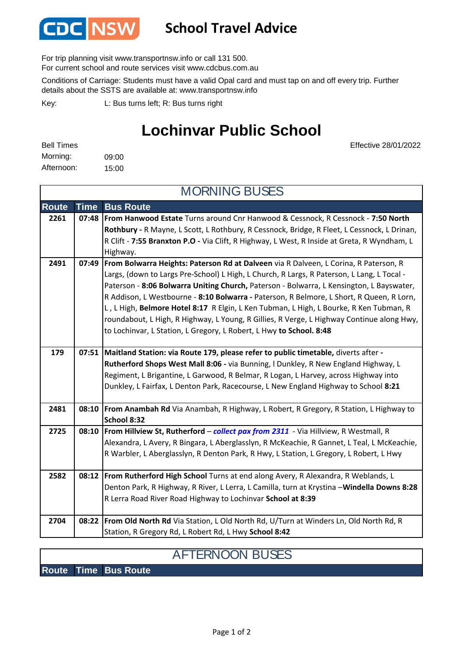

## **School Travel Advice**

For trip planning visit www.transportnsw.info or call 131 500.

For current school and route services visit www.cdcbus.com.au

Conditions of Carriage: Students must have a valid Opal card and must tap on and off every trip. Further details about the SSTS are available at: www.transportnsw.info

L: Bus turns left; R: Bus turns right Key:

## **Lochinvar Public School**

Effective 28/01/2022

| <b>Bell Times</b> |       |
|-------------------|-------|
| Morning:          | 09:00 |
| Afternoon:        | 15:00 |

**Route Time Bus Route 2261 07:48 From Hanwood Estate** Turns around Cnr Hanwood & Cessnock, R Cessnock - **7:50 North Rothbury -** R Mayne, L Scott, L Rothbury, R Cessnock, Bridge, R Fleet, L Cessnock, L Drinan, R Clift - **7:55 Branxton P.O -** Via Clift, R Highway, L West, R Inside at Greta, R Wyndham, L Highway. **2491 07:49 From Bolwarra Heights: Paterson Rd at Dalveen** via R Dalveen, L Corina, R Paterson, R Largs, (down to Largs Pre-School) L High, L Church, R Largs, R Paterson, L Lang, L Tocal -Paterson - **8:06 Bolwarra Uniting Church,** Paterson - Bolwarra, L Kensington, L Bayswater, R Addison, L Westbourne - **8:10 Bolwarra -** Paterson, R Belmore, L Short, R Queen, R Lorn, L , L High, **Belmore Hotel 8:17** R Elgin, L Ken Tubman, L High, L Bourke, R Ken Tubman, R roundabout, L High, R Highway, L Young, R Gillies, R Verge, L Highway Continue along Hwy, to Lochinvar, L Station, L Gregory, L Robert, L Hwy **to School. 8:48 179 07:51 Maitland Station: via Route 179, please refer to public timetable,** diverts after **- Rutherford Shops West Mall 8:06 -** via Bunning, l Dunkley, R New England Highway, L Regiment, L Brigantine, L Garwood, R Belmar, R Logan, L Harvey, across Highway into Dunkley, L Fairfax, L Denton Park, Racecourse, L New England Highway to School **8:21 2481 08:10 From Anambah Rd** Via Anambah, R Highway, L Robert, R Gregory, R Station, L Highway to **School 8:32 2725 08:10 From Hillview St, Rutherford** – *collect pax from 2311* - Via Hillview, R Westmall, R Alexandra, L Avery, R Bingara, L Aberglasslyn, R McKeachie, R Gannet, L Teal, L McKeachie, R Warbler, L Aberglasslyn, R Denton Park, R Hwy, L Station, L Gregory, L Robert, L Hwy **2582 08:12 From Rutherford High School** Turns at end along Avery, R Alexandra, R Weblands, L Denton Park, R Highway, R River, L Lerra, L Camilla, turn at Krystina –**Windella Downs 8:28**  R Lerra Road River Road Highway to Lochinvar **School at 8:39 2704 08:22 From Old North Rd** Via Station, L Old North Rd, U/Turn at Winders Ln, Old North Rd, R Station, R Gregory Rd, L Robert Rd, L Hwy **School 8:42** MORNING BUSES

## AFTERNOON BUSES

**Route Time Bus Route**